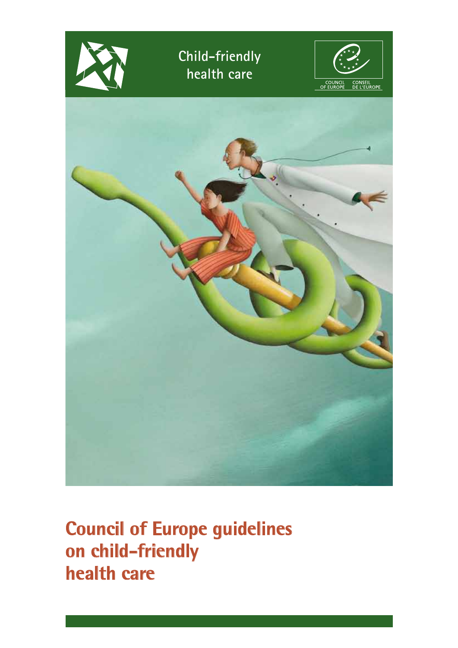

**Council of Europe guidelines on child-friendly health care**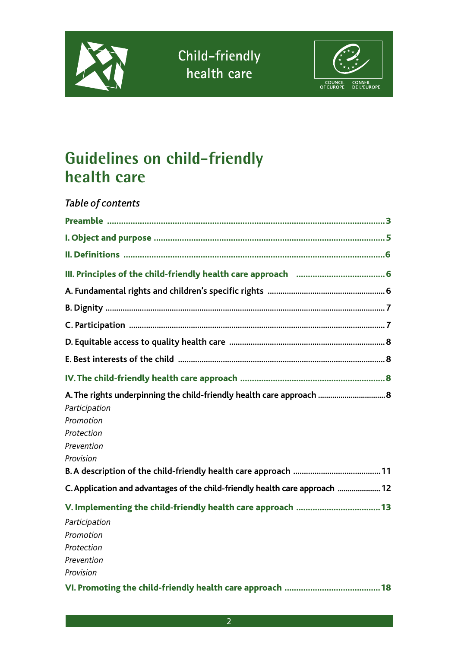



## **Guidelines on child-friendly health care**

#### *Table of contents*

| A. The rights underpinning the child-friendly health care approach  8<br>Participation<br>Promotion<br>Protection<br>Prevention<br>Provision |
|----------------------------------------------------------------------------------------------------------------------------------------------|
|                                                                                                                                              |
| C. Application and advantages of the child-friendly health care approach  12                                                                 |
| Participation<br>Promotion<br>Protection<br>Prevention<br>Provision                                                                          |
|                                                                                                                                              |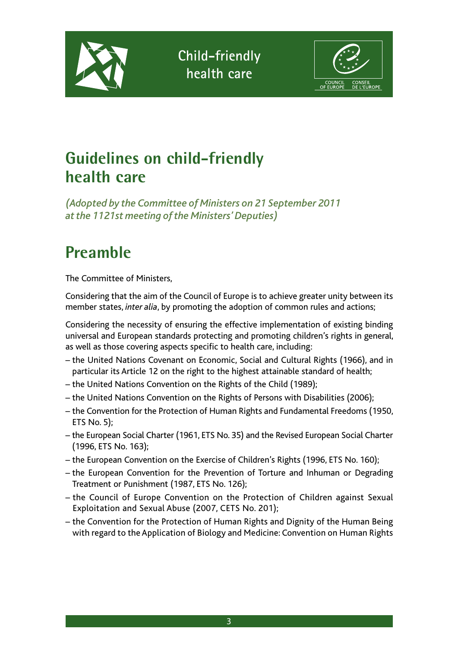



## **Guidelines on child-friendly health care**

*(Adopted by the Committee of Ministers on 21 September 2011 at the 1121st meeting of the Ministers' Deputies)*

# **Preamble**

The Committee of Ministers,

Considering that the aim of the Council of Europe is to achieve greater unity between its member states, *inter alia*, by promoting the adoption of common rules and actions;

Considering the necessity of ensuring the effective implementation of existing binding universal and European standards protecting and promoting children's rights in general, as well as those covering aspects specific to health care, including:

- the United Nations Covenant on Economic, Social and Cultural Rights (1966), and in particular its Article 12 on the right to the highest attainable standard of health;
- the United Nations Convention on the Rights of the Child (1989);
- the United Nations Convention on the Rights of Persons with Disabilities (2006);
- the Convention for the Protection of Human Rights and Fundamental Freedoms (1950, ETS No. 5);
- the European Social Charter (1961, ETS No. 35) and the Revised European Social Charter (1996, ETS No. 163);
- the European Convention on the Exercise of Children's Rights (1996, ETS No. 160);
- the European Convention for the Prevention of Torture and Inhuman or Degrading Treatment or Punishment (1987, ETS No. 126);
- the Council of Europe Convention on the Protection of Children against Sexual Exploitation and Sexual Abuse (2007, CETS No. 201);
- the Convention for the Protection of Human Rights and Dignity of the Human Being with regard to the Application of Biology and Medicine: Convention on Human Rights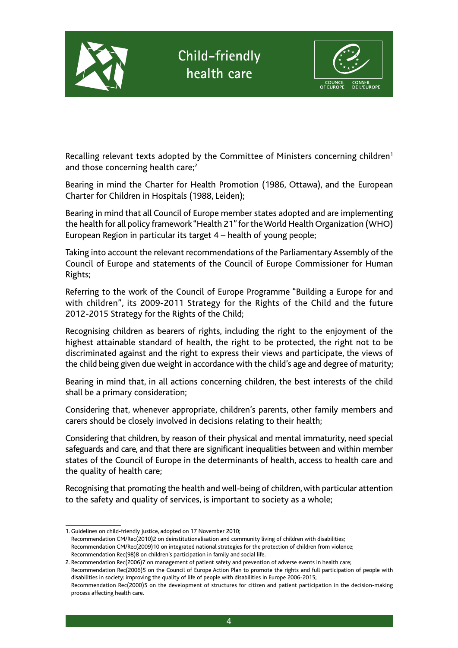

Recalling relevant texts adopted by the Committee of Ministers concerning children<sup>1</sup> and those concerning health care;<sup>2</sup>

Bearing in mind the Charter for Health Promotion (1986, Ottawa), and the European Charter for Children in Hospitals (1988, Leiden);

Bearing in mind that all Council of Europe member states adopted and are implementing the health for all policy framework "Health 21" for the World Health Organization (WHO) European Region in particular its target 4 – health of young people;

Taking into account the relevant recommendations of the Parliamentary Assembly of the Council of Europe and statements of the Council of Europe Commissioner for Human Rights;

Referring to the work of the Council of Europe Programme "Building a Europe for and with children", its 2009-2011 Strategy for the Rights of the Child and the future 2012-2015 Strategy for the Rights of the Child;

Recognising children as bearers of rights, including the right to the enjoyment of the highest attainable standard of health, the right to be protected, the right not to be discriminated against and the right to express their views and participate, the views of the child being given due weight in accordance with the child's age and degree of maturity;

Bearing in mind that, in all actions concerning children, the best interests of the child shall be a primary consideration;

Considering that, whenever appropriate, children's parents, other family members and carers should be closely involved in decisions relating to their health;

Considering that children, by reason of their physical and mental immaturity, need special safeguards and care, and that there are significant inequalities between and within member states of the Council of Europe in the determinants of health, access to health care and the quality of health care;

Recognising that promoting the health and well-being of children, with particular attention to the safety and quality of services, is important to society as a whole;

<sup>1.</sup> Guidelines on child-friendly justice, adopted on 17 November 2010; Recommendation CM/Rec(2010)2 on deinstitutionalisation and community living of children with disabilities; Recommendation CM/Rec(2009)10 on integrated national strategies for the protection of children from violence; Recommendation Rec(98)8 on children's participation in family and social life.

<sup>2.</sup> Recommendation Rec(2006)7 on management of patient safety and prevention of adverse events in health care;

Recommendation Rec(2006)5 on the Council of Europe Action Plan to promote the rights and full participation of people with disabilities in society: improving the quality of life of people with disabilities in Europe 2006-2015;

Recommendation Rec(2000)5 on the development of structures for citizen and patient participation in the decision-making process affecting health care.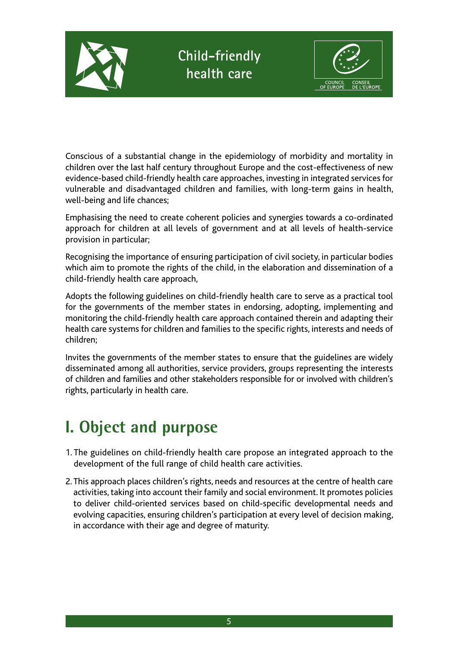



Conscious of a substantial change in the epidemiology of morbidity and mortality in children over the last half century throughout Europe and the cost-effectiveness of new evidence-based child-friendly health care approaches, investing in integrated services for vulnerable and disadvantaged children and families, with long-term gains in health, well-being and life chances;

Emphasising the need to create coherent policies and synergies towards a co-ordinated approach for children at all levels of government and at all levels of health-service provision in particular;

Recognising the importance of ensuring participation of civil society, in particular bodies which aim to promote the rights of the child, in the elaboration and dissemination of a child-friendly health care approach,

Adopts the following guidelines on child-friendly health care to serve as a practical tool for the governments of the member states in endorsing, adopting, implementing and monitoring the child-friendly health care approach contained therein and adapting their health care systems for children and families to the specific rights, interests and needs of children;

Invites the governments of the member states to ensure that the guidelines are widely disseminated among all authorities, service providers, groups representing the interests of children and families and other stakeholders responsible for or involved with children's rights, particularly in health care.

## **I. Object and purpose**

- 1. The guidelines on child-friendly health care propose an integrated approach to the development of the full range of child health care activities.
- 2. This approach places children's rights, needs and resources at the centre of health care activities, taking into account their family and social environment. It promotes policies to deliver child-oriented services based on child-specific developmental needs and evolving capacities, ensuring children's participation at every level of decision making, in accordance with their age and degree of maturity.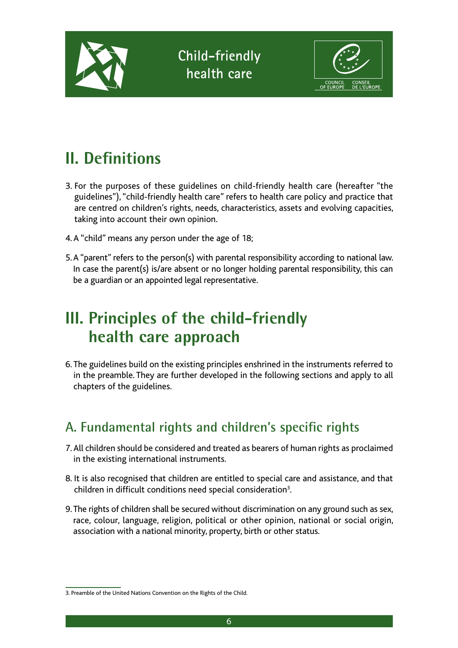



## **II. Definitions**

- 3. For the purposes of these guidelines on child-friendly health care (hereafter "the guidelines"), "child-friendly health care" refers to health care policy and practice that are centred on children's rights, needs, characteristics, assets and evolving capacities, taking into account their own opinion.
- 4. A "child" means any person under the age of 18;
- 5. A "parent" refers to the person(s) with parental responsibility according to national law. In case the parent(s) is/are absent or no longer holding parental responsibility, this can be a guardian or an appointed legal representative.

### **III. Principles of the child-friendly health care approach**

6. The guidelines build on the existing principles enshrined in the instruments referred to in the preamble. They are further developed in the following sections and apply to all chapters of the guidelines.

### **A. Fundamental rights and children's specific rights**

- 7. All children should be considered and treated as bearers of human rights as proclaimed in the existing international instruments.
- 8. It is also recognised that children are entitled to special care and assistance, and that children in difficult conditions need special consideration<sup>3</sup>.
- 9. The rights of children shall be secured without discrimination on any ground such as sex, race, colour, language, religion, political or other opinion, national or social origin, association with a national minority, property, birth or other status.

<sup>3.</sup> Preamble of the United Nations Convention on the Rights of the Child.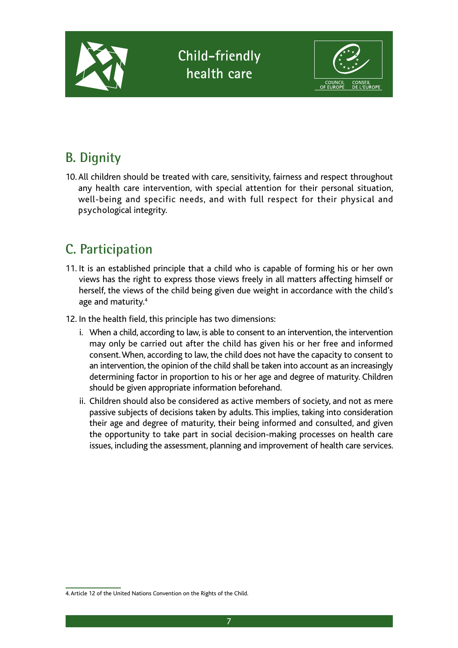

### **B. Dignity**

10. All children should be treated with care, sensitivity, fairness and respect throughout any health care intervention, with special attention for their personal situation, well-being and specific needs, and with full respect for their physical and psychological integrity.

### **C. Participation**

- 11. It is an established principle that a child who is capable of forming his or her own views has the right to express those views freely in all matters affecting himself or herself, the views of the child being given due weight in accordance with the child's age and maturity.<sup>4</sup>
- 12. In the health field, this principle has two dimensions:
	- i. When a child, according to law, is able to consent to an intervention, the intervention may only be carried out after the child has given his or her free and informed consent. When, according to law, the child does not have the capacity to consent to an intervention, the opinion of the child shall be taken into account as an increasingly determining factor in proportion to his or her age and degree of maturity. Children should be given appropriate information beforehand.
	- ii. Children should also be considered as active members of society, and not as mere passive subjects of decisions taken by adults. This implies, taking into consideration their age and degree of maturity, their being informed and consulted, and given the opportunity to take part in social decision-making processes on health care issues, including the assessment, planning and improvement of health care services.

<sup>4.</sup> Article 12 of the United Nations Convention on the Rights of the Child.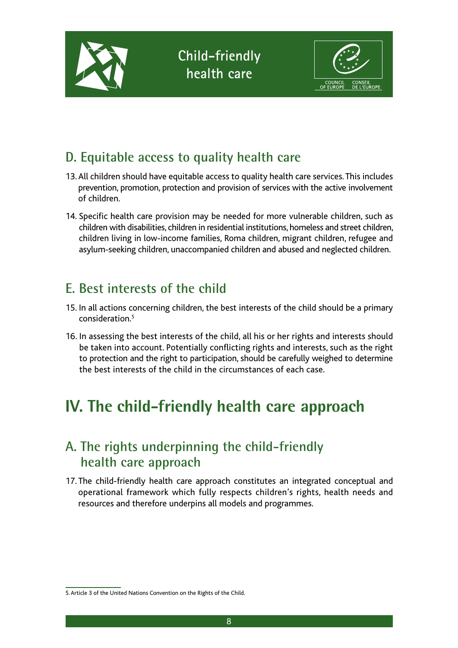

### **D. Equitable access to quality health care**

- 13. All children should have equitable access to quality health care services. This includes prevention, promotion, protection and provision of services with the active involvement of children.
- 14. Specific health care provision may be needed for more vulnerable children, such as children with disabilities, children in residential institutions, homeless and street children, children living in low-income families, Roma children, migrant children, refugee and asylum-seeking children, unaccompanied children and abused and neglected children.

### **E. Best interests of the child**

- 15. In all actions concerning children, the best interests of the child should be a primary consideration.5
- 16. In assessing the best interests of the child, all his or her rights and interests should be taken into account. Potentially conflicting rights and interests, such as the right to protection and the right to participation, should be carefully weighed to determine the best interests of the child in the circumstances of each case.

## **IV. The child-friendly health care approach**

### **A. The rights underpinning the child-friendly health care approach**

17. The child-friendly health care approach constitutes an integrated conceptual and operational framework which fully respects children's rights, health needs and resources and therefore underpins all models and programmes.

<sup>5.</sup> Article 3 of the United Nations Convention on the Rights of the Child.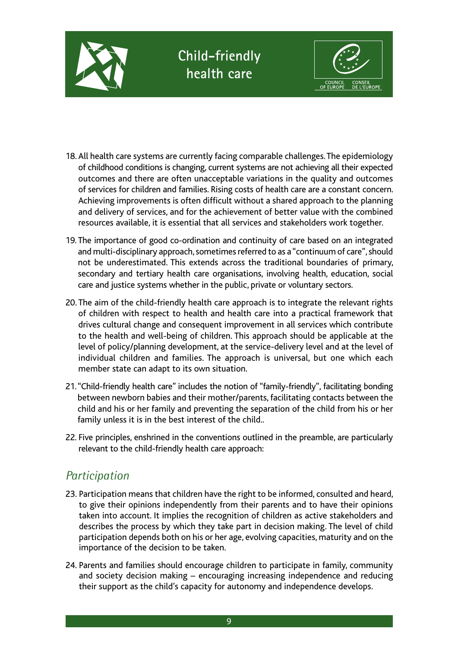



- 18. All health care systems are currently facing comparable challenges. The epidemiology of childhood conditions is changing, current systems are not achieving all their expected outcomes and there are often unacceptable variations in the quality and outcomes of services for children and families. Rising costs of health care are a constant concern. Achieving improvements is often difficult without a shared approach to the planning and delivery of services, and for the achievement of better value with the combined resources available, it is essential that all services and stakeholders work together.
- 19. The importance of good co-ordination and continuity of care based on an integrated and multi-disciplinary approach, sometimes referred to as a "continuum of care", should not be underestimated. This extends across the traditional boundaries of primary, secondary and tertiary health care organisations, involving health, education, social care and justice systems whether in the public, private or voluntary sectors.
- 20. The aim of the child-friendly health care approach is to integrate the relevant rights of children with respect to health and health care into a practical framework that drives cultural change and consequent improvement in all services which contribute to the health and well-being of children. This approach should be applicable at the level of policy/planning development, at the service-delivery level and at the level of individual children and families. The approach is universal, but one which each member state can adapt to its own situation.
- 21. "Child-friendly health care" includes the notion of "family-friendly", facilitating bonding between newborn babies and their mother/parents, facilitating contacts between the child and his or her family and preventing the separation of the child from his or her family unless it is in the best interest of the child..
- 22. Five principles, enshrined in the conventions outlined in the preamble, are particularly relevant to the child-friendly health care approach:

#### *Participation*

- 23. Participation means that children have the right to be informed, consulted and heard, to give their opinions independently from their parents and to have their opinions taken into account. It implies the recognition of children as active stakeholders and describes the process by which they take part in decision making. The level of child participation depends both on his or her age, evolving capacities, maturity and on the importance of the decision to be taken.
- 24. Parents and families should encourage children to participate in family, community and society decision making – encouraging increasing independence and reducing their support as the child's capacity for autonomy and independence develops.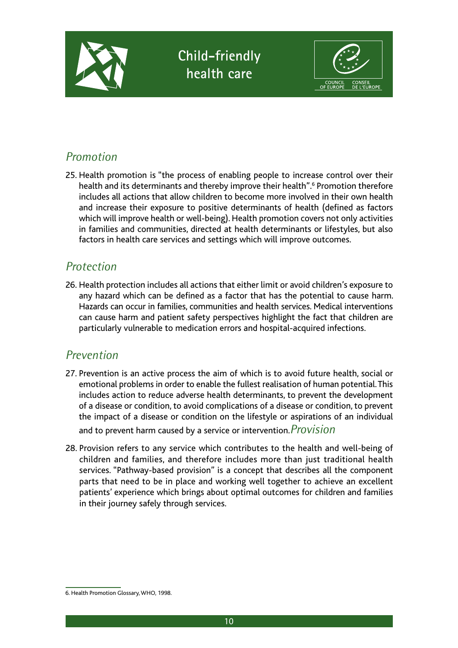

### **Child-friendly health care**



#### *Promotion*

25. Health promotion is "the process of enabling people to increase control over their health and its determinants and thereby improve their health".<sup>6</sup> Promotion therefore includes all actions that allow children to become more involved in their own health and increase their exposure to positive determinants of health (defined as factors which will improve health or well-being). Health promotion covers not only activities in families and communities, directed at health determinants or lifestyles, but also factors in health care services and settings which will improve outcomes.

#### *Protection*

26. Health protection includes all actions that either limit or avoid children's exposure to any hazard which can be defined as a factor that has the potential to cause harm. Hazards can occur in families, communities and health services. Medical interventions can cause harm and patient safety perspectives highlight the fact that children are particularly vulnerable to medication errors and hospital-acquired infections.

#### *Prevention*

27. Prevention is an active process the aim of which is to avoid future health, social or emotional problems in order to enable the fullest realisation of human potential. This includes action to reduce adverse health determinants, to prevent the development of a disease or condition, to avoid complications of a disease or condition, to prevent the impact of a disease or condition on the lifestyle or aspirations of an individual

and to prevent harm caused by a service or intervention.*Provision*

28. Provision refers to any service which contributes to the health and well-being of children and families, and therefore includes more than just traditional health services. "Pathway-based provision" is a concept that describes all the component parts that need to be in place and working well together to achieve an excellent patients' experience which brings about optimal outcomes for children and families in their journey safely through services.

<sup>6.</sup> Health Promotion Glossary, WHO, 1998.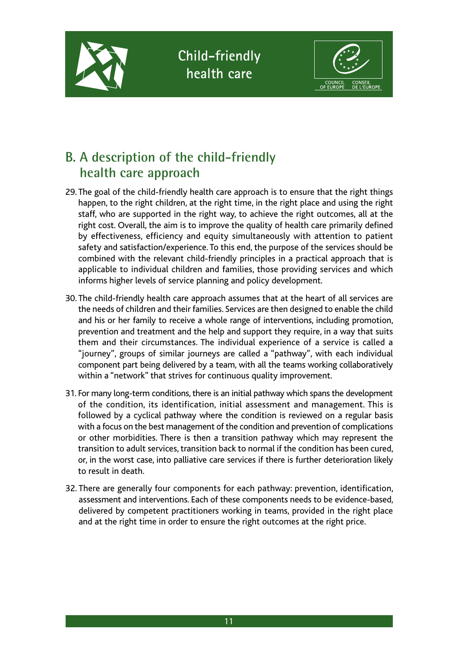



### **B. A description of the child-friendly health care approach**

- 29. The goal of the child-friendly health care approach is to ensure that the right things happen, to the right children, at the right time, in the right place and using the right staff, who are supported in the right way, to achieve the right outcomes, all at the right cost. Overall, the aim is to improve the quality of health care primarily defined by effectiveness, efficiency and equity simultaneously with attention to patient safety and satisfaction/experience. To this end, the purpose of the services should be combined with the relevant child-friendly principles in a practical approach that is applicable to individual children and families, those providing services and which informs higher levels of service planning and policy development.
- 30. The child-friendly health care approach assumes that at the heart of all services are the needs of children and their families. Services are then designed to enable the child and his or her family to receive a whole range of interventions, including promotion, prevention and treatment and the help and support they require, in a way that suits them and their circumstances. The individual experience of a service is called a "journey", groups of similar journeys are called a "pathway", with each individual component part being delivered by a team, with all the teams working collaboratively within a "network" that strives for continuous quality improvement.
- 31. For many long-term conditions, there is an initial pathway which spans the development of the condition, its identification, initial assessment and management. This is followed by a cyclical pathway where the condition is reviewed on a regular basis with a focus on the best management of the condition and prevention of complications or other morbidities. There is then a transition pathway which may represent the transition to adult services, transition back to normal if the condition has been cured, or, in the worst case, into palliative care services if there is further deterioration likely to result in death.
- 32. There are generally four components for each pathway: prevention, identification, assessment and interventions. Each of these components needs to be evidence-based, delivered by competent practitioners working in teams, provided in the right place and at the right time in order to ensure the right outcomes at the right price.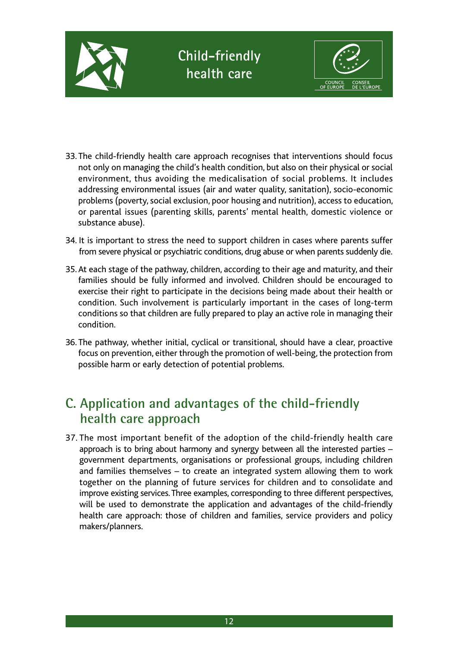

- 33. The child-friendly health care approach recognises that interventions should focus not only on managing the child's health condition, but also on their physical or social environment, thus avoiding the medicalisation of social problems. It includes addressing environmental issues (air and water quality, sanitation), socio-economic problems (poverty, social exclusion, poor housing and nutrition), access to education, or parental issues (parenting skills, parents' mental health, domestic violence or substance abuse).
- 34. It is important to stress the need to support children in cases where parents suffer from severe physical or psychiatric conditions, drug abuse or when parents suddenly die.
- 35. At each stage of the pathway, children, according to their age and maturity, and their families should be fully informed and involved. Children should be encouraged to exercise their right to participate in the decisions being made about their health or condition. Such involvement is particularly important in the cases of long-term conditions so that children are fully prepared to play an active role in managing their condition.
- 36. The pathway, whether initial, cyclical or transitional, should have a clear, proactive focus on prevention, either through the promotion of well-being, the protection from possible harm or early detection of potential problems.

### **C. Application and advantages of the child-friendly health care approach**

37. The most important benefit of the adoption of the child-friendly health care approach is to bring about harmony and synergy between all the interested parties – government departments, organisations or professional groups, including children and families themselves – to create an integrated system allowing them to work together on the planning of future services for children and to consolidate and improve existing services. Three examples, corresponding to three different perspectives, will be used to demonstrate the application and advantages of the child-friendly health care approach: those of children and families, service providers and policy makers/planners.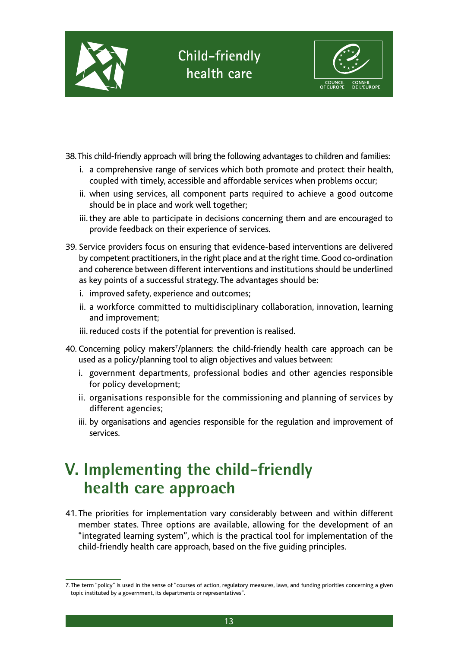



38. This child-friendly approach will bring the following advantages to children and families:

- i. a comprehensive range of services which both promote and protect their health, coupled with timely, accessible and affordable services when problems occur;
- ii. when using services, all component parts required to achieve a good outcome should be in place and work well together;
- iii. they are able to participate in decisions concerning them and are encouraged to provide feedback on their experience of services.
- 39. Service providers focus on ensuring that evidence-based interventions are delivered by competent practitioners, in the right place and at the right time. Good co-ordination and coherence between different interventions and institutions should be underlined as key points of a successful strategy. The advantages should be:
	- i. improved safety, experience and outcomes;
	- ii. a workforce committed to multidisciplinary collaboration, innovation, learning and improvement;
	- iii. reduced costs if the potential for prevention is realised.
- 40. Concerning policy makers<sup>7</sup>/planners: the child-friendly health care approach can be used as a policy/planning tool to align objectives and values between:
	- i. government departments, professional bodies and other agencies responsible for policy development;
	- ii. organisations responsible for the commissioning and planning of services by different agencies;
	- iii. by organisations and agencies responsible for the regulation and improvement of services.

## **V. Implementing the child-friendly health care approach**

41. The priorities for implementation vary considerably between and within different member states. Three options are available, allowing for the development of an "integrated learning system", which is the practical tool for implementation of the child-friendly health care approach, based on the five guiding principles.

<sup>7.</sup> The term "policy" is used in the sense of "courses of action, regulatory measures, laws, and funding priorities concerning a given topic instituted by a government, its departments or representatives".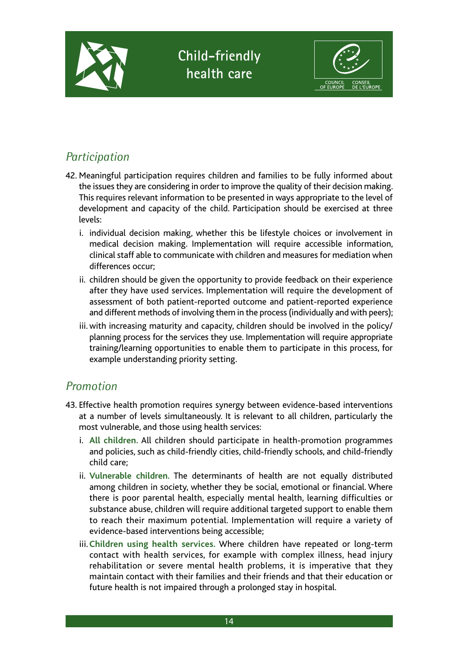

### **Child-friendly health care**



### *Participation*

- 42. Meaningful participation requires children and families to be fully informed about the issues they are considering in order to improve the quality of their decision making. This requires relevant information to be presented in ways appropriate to the level of development and capacity of the child. Participation should be exercised at three levels:
	- i. individual decision making, whether this be lifestyle choices or involvement in medical decision making. Implementation will require accessible information, clinical staff able to communicate with children and measures for mediation when differences occur;
	- ii. children should be given the opportunity to provide feedback on their experience after they have used services. Implementation will require the development of assessment of both patient-reported outcome and patient-reported experience and different methods of involving them in the process (individually and with peers);
	- iii. with increasing maturity and capacity, children should be involved in the policy/ planning process for the services they use. Implementation will require appropriate training/learning opportunities to enable them to participate in this process, for example understanding priority setting.

#### *Promotion*

- 43. Effective health promotion requires synergy between evidence-based interventions at a number of levels simultaneously. It is relevant to all children, particularly the most vulnerable, and those using health services:
	- i. **All children.** All children should participate in health-promotion programmes and policies, such as child-friendly cities, child-friendly schools, and child-friendly child care;
	- ii. **Vulnerable children.** The determinants of health are not equally distributed among children in society, whether they be social, emotional or financial. Where there is poor parental health, especially mental health, learning difficulties or substance abuse, children will require additional targeted support to enable them to reach their maximum potential. Implementation will require a variety of evidence-based interventions being accessible;
	- iii. **Children using health services.** Where children have repeated or long-term contact with health services, for example with complex illness, head injury rehabilitation or severe mental health problems, it is imperative that they maintain contact with their families and their friends and that their education or future health is not impaired through a prolonged stay in hospital.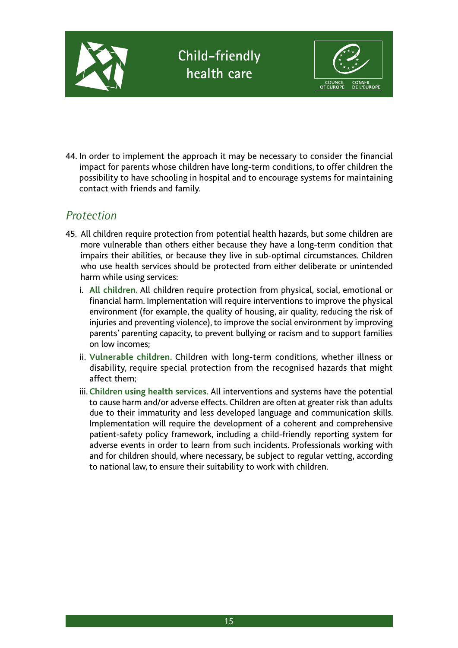

44. In order to implement the approach it may be necessary to consider the financial impact for parents whose children have long-term conditions, to offer children the possibility to have schooling in hospital and to encourage systems for maintaining contact with friends and family.

#### *Protection*

- 45. All children require protection from potential health hazards, but some children are more vulnerable than others either because they have a long-term condition that impairs their abilities, or because they live in sub-optimal circumstances. Children who use health services should be protected from either deliberate or unintended harm while using services:
	- i. **All children.** All children require protection from physical, social, emotional or financial harm. Implementation will require interventions to improve the physical environment (for example, the quality of housing, air quality, reducing the risk of injuries and preventing violence), to improve the social environment by improving parents' parenting capacity, to prevent bullying or racism and to support families on low incomes;
	- ii. **Vulnerable children.** Children with long-term conditions, whether illness or disability, require special protection from the recognised hazards that might affect them;
	- iii. **Children using health services.** All interventions and systems have the potential to cause harm and/or adverse effects. Children are often at greater risk than adults due to their immaturity and less developed language and communication skills. Implementation will require the development of a coherent and comprehensive patient-safety policy framework, including a child-friendly reporting system for adverse events in order to learn from such incidents. Professionals working with and for children should, where necessary, be subject to regular vetting, according to national law, to ensure their suitability to work with children.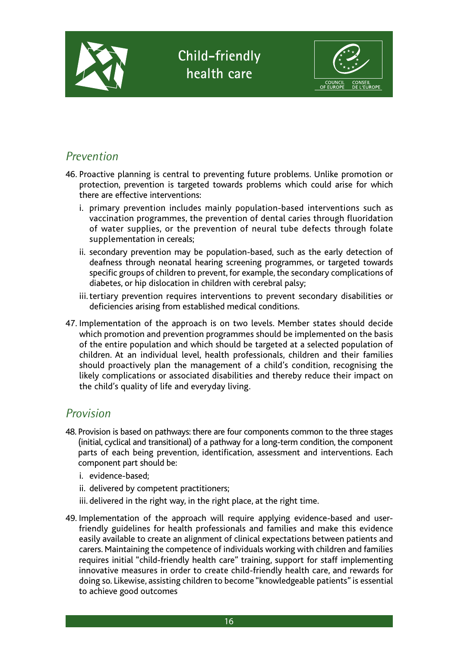

#### *Prevention*

- 46. Proactive planning is central to preventing future problems. Unlike promotion or protection, prevention is targeted towards problems which could arise for which there are effective interventions:
	- i. primary prevention includes mainly population-based interventions such as vaccination programmes, the prevention of dental caries through fluoridation of water supplies, or the prevention of neural tube defects through folate supplementation in cereals;
	- ii. secondary prevention may be population-based, such as the early detection of deafness through neonatal hearing screening programmes, or targeted towards specific groups of children to prevent, for example, the secondary complications of diabetes, or hip dislocation in children with cerebral palsy;
	- iii. tertiary prevention requires interventions to prevent secondary disabilities or deficiencies arising from established medical conditions.
- 47. Implementation of the approach is on two levels. Member states should decide which promotion and prevention programmes should be implemented on the basis of the entire population and which should be targeted at a selected population of children. At an individual level, health professionals, children and their families should proactively plan the management of a child's condition, recognising the likely complications or associated disabilities and thereby reduce their impact on the child's quality of life and everyday living.

#### *Provision*

- 48. Provision is based on pathways: there are four components common to the three stages (initial, cyclical and transitional) of a pathway for a long-term condition, the component parts of each being prevention, identification, assessment and interventions. Each component part should be:
	- i. evidence-based;
	- ii. delivered by competent practitioners;
	- iii. delivered in the right way, in the right place, at the right time.
- 49. Implementation of the approach will require applying evidence-based and userfriendly guidelines for health professionals and families and make this evidence easily available to create an alignment of clinical expectations between patients and carers. Maintaining the competence of individuals working with children and families requires initial "child-friendly health care" training, support for staff implementing innovative measures in order to create child-friendly health care, and rewards for doing so. Likewise, assisting children to become "knowledgeable patients" is essential to achieve good outcomes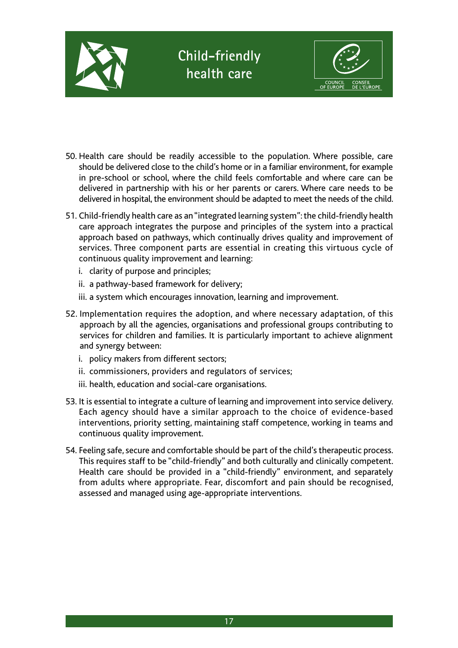

- 50. Health care should be readily accessible to the population. Where possible, care should be delivered close to the child's home or in a familiar environment, for example in pre-school or school, where the child feels comfortable and where care can be delivered in partnership with his or her parents or carers. Where care needs to be delivered in hospital, the environment should be adapted to meet the needs of the child.
- 51. Child-friendly health care as an "integrated learning system": the child-friendly health care approach integrates the purpose and principles of the system into a practical approach based on pathways, which continually drives quality and improvement of services. Three component parts are essential in creating this virtuous cycle of continuous quality improvement and learning:
	- i. clarity of purpose and principles;
	- ii. a pathway-based framework for delivery;
	- iii. a system which encourages innovation, learning and improvement.
- 52. Implementation requires the adoption, and where necessary adaptation, of this approach by all the agencies, organisations and professional groups contributing to services for children and families. It is particularly important to achieve alignment and synergy between:
	- i. policy makers from different sectors;
	- ii. commissioners, providers and regulators of services;
	- iii. health, education and social-care organisations.
- 53. It is essential to integrate a culture of learning and improvement into service delivery. Each agency should have a similar approach to the choice of evidence-based interventions, priority setting, maintaining staff competence, working in teams and continuous quality improvement.
- 54. Feeling safe, secure and comfortable should be part of the child's therapeutic process. This requires staff to be "child-friendly" and both culturally and clinically competent. Health care should be provided in a "child-friendly" environment, and separately from adults where appropriate. Fear, discomfort and pain should be recognised, assessed and managed using age-appropriate interventions.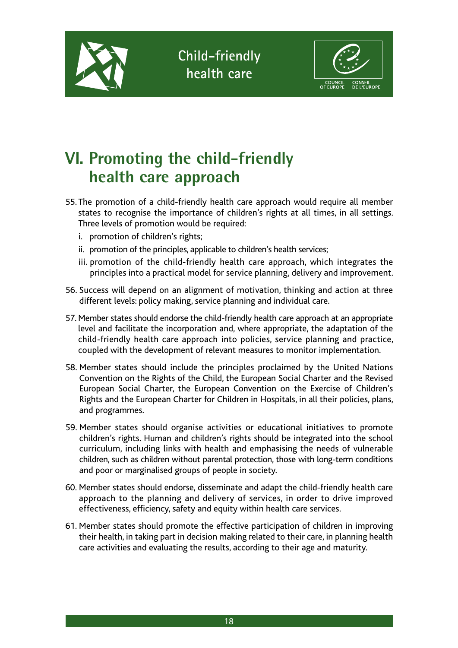



## **VI. Promoting the child-friendly health care approach**

- 55. The promotion of a child-friendly health care approach would require all member states to recognise the importance of children's rights at all times, in all settings. Three levels of promotion would be required:
	- i. promotion of children's rights;
	- ii. promotion of the principles, applicable to children's health services;
	- iii. promotion of the child-friendly health care approach, which integrates the principles into a practical model for service planning, delivery and improvement.
- 56. Success will depend on an alignment of motivation, thinking and action at three different levels: policy making, service planning and individual care.
- 57. Member states should endorse the child-friendly health care approach at an appropriate level and facilitate the incorporation and, where appropriate, the adaptation of the child-friendly health care approach into policies, service planning and practice, coupled with the development of relevant measures to monitor implementation.
- 58. Member states should include the principles proclaimed by the United Nations Convention on the Rights of the Child, the European Social Charter and the Revised European Social Charter, the European Convention on the Exercise of Children's Rights and the European Charter for Children in Hospitals, in all their policies, plans, and programmes.
- 59. Member states should organise activities or educational initiatives to promote children's rights. Human and children's rights should be integrated into the school curriculum, including links with health and emphasising the needs of vulnerable children, such as children without parental protection, those with long-term conditions and poor or marginalised groups of people in society.
- 60. Member states should endorse, disseminate and adapt the child-friendly health care approach to the planning and delivery of services, in order to drive improved effectiveness, efficiency, safety and equity within health care services.
- 61. Member states should promote the effective participation of children in improving their health, in taking part in decision making related to their care, in planning health care activities and evaluating the results, according to their age and maturity.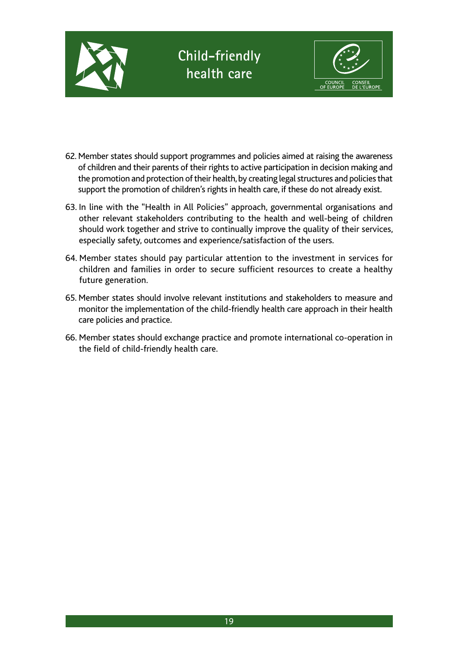

- 62. Member states should support programmes and policies aimed at raising the awareness of children and their parents of their rights to active participation in decision making and the promotion and protection of their health, by creating legal structures and policies that support the promotion of children's rights in health care, if these do not already exist.
- 63. In line with the "Health in All Policies" approach, governmental organisations and other relevant stakeholders contributing to the health and well-being of children should work together and strive to continually improve the quality of their services, especially safety, outcomes and experience/satisfaction of the users.
- 64. Member states should pay particular attention to the investment in services for children and families in order to secure sufficient resources to create a healthy future generation.
- 65. Member states should involve relevant institutions and stakeholders to measure and monitor the implementation of the child-friendly health care approach in their health care policies and practice.
- 66. Member states should exchange practice and promote international co-operation in the field of child-friendly health care.